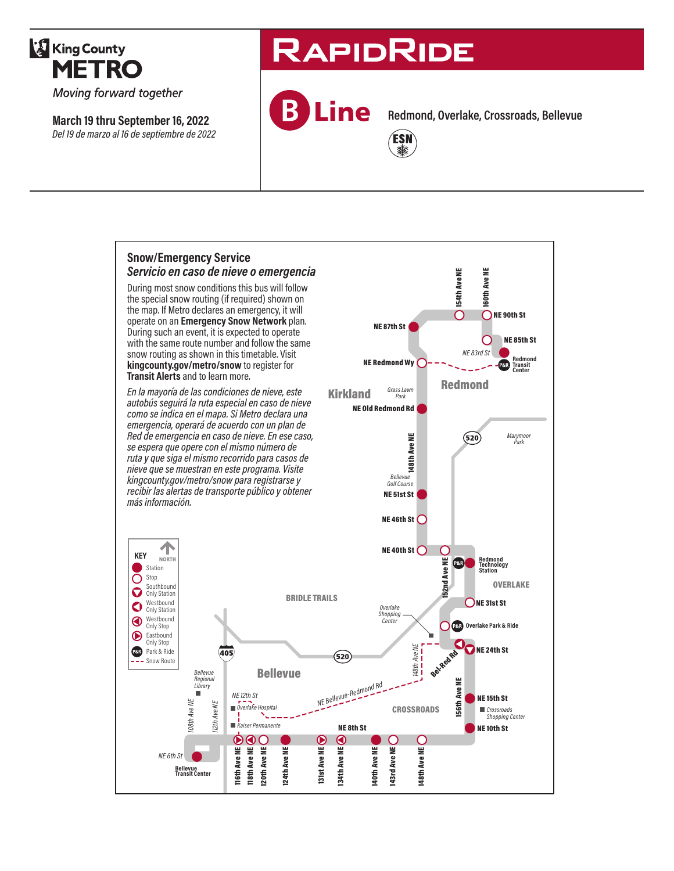

Moving forward together

**March 19 thru September 16, 2022** *Del 19 de marzo al 16 de septiembre de 2022*

# **RAPIDRIDE**

**Line** 

**Redmond, Overlake, Crossroads, Bellevue**



**Snow/Emergency Service**  *Servicio en caso de nieve o emergencia* 160th Ave NE **154th Ave NE** 154th Ave NE 160th Ave NE During most snow conditions this bus will follow the special snow routing (if required) shown on the map. If Metro declares an emergency, it will  $\cap$ ONE 90th St operate on an **Emergency Snow Network** plan. NE 87th St During such an event, it is expected to operate NE 85th St O with the same route number and follow the same *NE 83rd St* snow routing as shown in this timetable. Visit **Redmond Transit Center** NE Redmond Wy P&R **kingcounty.gov/metro/snow** to register for **Transit Alerts** and to learn more. Kirkland Grass Lawn Redmond *En la mayoría de las condiciones de nieve, este Grass Lawn Park autobús seguirá la ruta especial en caso de nieve*  NE Old Redmond Rd *como se indica en el mapa. Si Metro declara una emergencia, operará de acuerdo con un plan de Red de emergencia en caso de nieve. En ese caso, Marymoor Park*  $(520)$ We see the State<br>Bellevue<br>Bellevue<br>NE 46th St<br>NE 40th St *se espera que opere con el mismo número de ruta y que siga el mismo recorrido para casos de nieve que se muestran en este programa. Visite kingcounty.gov/metro/snow para registrarse y Bellevue Golf Course recibir las alertas de transporte público y obtener*  NE 51st St *más información.* NE 46th St $\bigcap$ 个 ⊂ **KEY** NORTH nd Ave NE **Redmond Technology Station** 152nd Ave NE P&R<sup>Y</sup> **Station** O Stop **OVERLAKE** Southbound O **Only Station** BRIDLE TRAILS ONE 31st St Westbound<br>Only Station *Overlake Shopping Center* Westbound Only Stop C **Overlake Park & Ride** Eastbound Only Stop 148th Ave NE **Bel-Red Rd**<br>Ave Ne *148th Ave NE* NE 24th St Park & Ride  $\overline{405}$  $(520)$ - Snow Route Bellevue *Bellevue Regional Library NE 12th St NE Bellevue-Redmond Rd*<br> *NE Bellevue-Redmond Rd*<br> *NE Bellevue* 156th Ave NE NE 15th St 156th A **08th Ave NE** *108th Ave NE* 12th Ave NE *112th Ave NE Overlake Hospital* **CROSSROADS** *Crossroads Shopping Center* m. *Kaiser Permanente* NE 8th St NE 10th St  $\circledast$ ၜၜၜ ◉ **148th Ave NE** Ave NE Tisth Ave NE<br>Tisth Ave NE<br>120th Ave NE **143rd Ave NE 124th Ave NE** 131st Ave NE 34th Ave NE 140th Ave NE 124th Ave NE 131st Ave NE 134th Ave NE 143rd Ave NE 116th Ave NE 118th Ave NE 120th Ave NE 140th Ave NE 148th Ave NE *NE 6th St* **Bellevue Transit Center**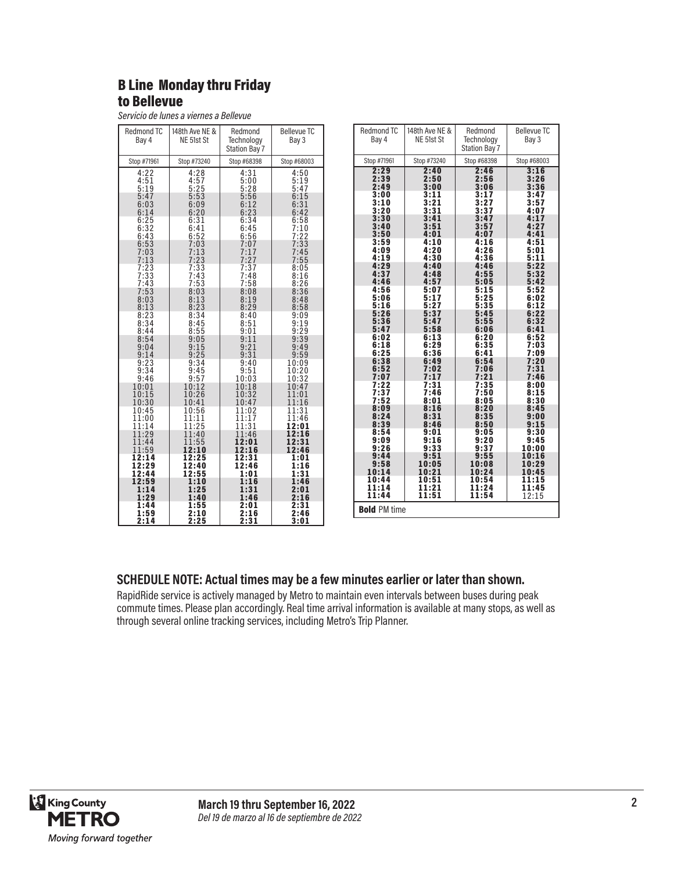## B Line Monday thru Friday to Bellevue

*Servicio de lunes a viernes a Bellevue*

| Redmond TC<br>Bay 4              | 148th Ave NE &<br>NE 51st St | Redmond<br>Technology<br><b>Station Bay 7</b> | <b>Bellevue TC</b><br>Bay 3         |
|----------------------------------|------------------------------|-----------------------------------------------|-------------------------------------|
| Stop #71961                      | Stop #73240                  | Stop #68398                                   | Stop #68003                         |
| $4:22$<br>$4:51$<br>5:19<br>5:47 | 4:28<br>4:57<br>5:25<br>5:53 | 4:31<br>5:00<br>5:28<br>5:56                  | 4:50<br>$\frac{5:19}{5:47}$<br>6:15 |
| 6:03                             | 6:09                         | 6:12                                          | 6:31                                |
| 6:14                             | 6:20                         | 6:23                                          | 6:42                                |
| 6:25                             | 6:31                         | 6:34                                          | 6:58                                |
| 6:32                             | 6:41                         | 6:45                                          | 7:10                                |
| 6:43                             | 6:52                         | 6:56                                          | 7:22                                |
| 6:53                             | 7:03                         | 7:07                                          | 7:33                                |
| 7:03                             | 7:13                         | 7:17                                          | 7:45                                |
| 7:13                             | 7:23                         | 7:27                                          | 7:55                                |
| 7:23<br>7:33<br>7:43             | 7:33<br>7:43<br>7:53         | 7:37<br>7:48<br>7:58                          | 8:05<br>$8:16$<br>$8:26$            |
| 7:53                             | 8:03                         | 8:08                                          | 8:36                                |
| 8:03                             | 8:13                         | 8:19                                          | 8:48                                |
| 8:13                             | 8:23                         | 8:29                                          | 8:58                                |
| 8:23                             | 8:34                         | 8:40                                          | 9:09                                |
| 8:34                             | 8:45                         | 8:51                                          | 9:19                                |
| 8:44                             | 8:55                         | 9:01                                          | 9:29                                |
| 8:54                             | 9:05                         | 9:11                                          | 9:39                                |
| 9:04                             | 9:15                         | 9:21                                          | 9:49                                |
| 9:14                             | 9:25                         | 9:31                                          | 9:59                                |
| 9:23                             | 9:34                         | 9:40                                          | 10:09                               |
| 9:34                             | 9:45                         | 9:51                                          | 10:20                               |
| 9:46                             | 9:57                         | 10:03                                         | 10:32                               |
| 10:01                            | 10:12                        | 10:18                                         | 10:47                               |
| 10:15                            | 10:26                        | 10:32                                         | 11:01                               |
| 10:30                            | 10:41                        | 10:47                                         | 11:16                               |
| 10:45                            | 10:56                        | 11:02                                         | 11:31                               |
| 11:00                            | 11:11                        | 11:17                                         | 11:46                               |
| 11:14                            | 11:25                        | 11:31                                         | 12:01                               |
| 11:29                            | 11:40                        | 11:46                                         | 12:16                               |
| 11:44                            | 11:55                        | 12:01                                         | 12:31                               |
| 11:59                            | 12:10                        | 12:16                                         | 12:46                               |
| 12:14                            | 12:25                        | 12:31                                         | 1:01                                |
| 12:29                            | 12:40                        | 12:46                                         | 1:16                                |
| 12:44                            | 12:55                        | 1:01                                          | 1:31                                |
| 12:59                            | 1:10                         | 1:16                                          | 1:46                                |
| 1:14                             | 1:25                         | 1:31                                          | 2:01                                |
| 1:29                             | 1:40                         | 1:46                                          | 2:16                                |
| 1:44                             | 1:55                         | 2:01                                          | 2:31                                |
| 1:59                             | 2:10                         | 2:16                                          | 2:46                                |
| 2:14                             | 2:25                         | 2:31                                          | 3:01                                |

| <b>Redmond TC</b><br>Bay 4 | 148th Ave NE &<br>NE 51st St | Redmond<br>Technology<br><b>Station Bay 7</b> | <b>Bellevue TC</b><br>Bay 3 |
|----------------------------|------------------------------|-----------------------------------------------|-----------------------------|
| Stop #71961                | Stop #73240                  | Stop #68398                                   | Stop #68003                 |
| 2:29                       | 2:40                         | 2:46                                          | 3:16                        |
| 2:39                       | 2:50                         | 2:56                                          | 3:26                        |
| 2:49                       | 3:00                         | 3:06                                          | 3:36                        |
| 3:00                       | 3:11                         | 3:17                                          | 3:47                        |
| 3:10                       | 3:21                         | 3:27                                          | 3:57                        |
| 3:20                       | 3:31                         | 3:37                                          | 4:07                        |
| 3:30                       | 3:41                         | 3:47                                          | 4:17                        |
| 3:40                       | 3:51                         | 3:57                                          | 4:27                        |
| 3:50                       | 4:01                         | 4:07                                          | 4:41                        |
| 3:59                       | 4:10                         | 4:16                                          | 4:51                        |
| 4:09                       | 4:20                         | 4:26                                          | 5:01                        |
| 4:19                       | 4:30                         | 4:36                                          | 5:11                        |
| 4:29                       | 4:40                         | 4:46                                          | 5:22                        |
| 4:37                       | 4:48                         | 4:55                                          | 5:32                        |
| 4:46                       | 4:57                         | 5:05                                          | 5:42                        |
| 4:56                       | 5:07                         | 5:15                                          | 5:52                        |
| 5:06                       | 5:17                         | 5:25                                          | 6:02                        |
| 5:16                       | 5:27                         | 5:35                                          | 6:12                        |
| 5:26                       | 5:37                         | 5:45                                          | 6:22                        |
| 5:36                       | 5:47                         | 5:55                                          | 6:32                        |
| 5:47                       | 5:58                         | 6:06                                          | 6:41                        |
| 6:02                       | 6:13                         | 6:20                                          | 6:52                        |
| 6:18                       | 6:29                         | 6:35                                          | 7:03                        |
| 6:25                       | 6:36                         | 6:41                                          | 7:09                        |
| 6:38                       | 6:49                         | 6:54                                          | 7:20                        |
| 6:52                       | 7:02                         | 7:06                                          | 7:31                        |
| 7:07                       | 7:17                         | 7:21                                          | 7:46                        |
| 7:22                       | 7:31                         | 7:35                                          | 8:00                        |
| 7:37                       | 7:46                         | 7:50                                          | 8:15                        |
| 7:52                       | 8:01                         | 8:05                                          | 8:30                        |
| 8:09                       | 8:16                         | 8:20                                          | 8:45                        |
| 8:24                       | 8:31                         | 8:35                                          | 9:00                        |
| 8:39                       | 8:46                         | 8:50                                          | 9:15                        |
| 8:54                       | 9:01                         | 9:05                                          | 9:30                        |
| 9:09                       | 9:16                         | 9:20                                          | 9:45                        |
| 9:26                       | 9:33                         | 9:37                                          | 10:00                       |
| 9:44                       | 9:51                         | 9:55                                          | 10:16                       |
| 9:58                       | 10:05                        | 10:08                                         | 10:29                       |
| 10:14                      | 10:21                        | 10:24                                         | 10:45                       |
| 10:44                      | 10:51                        | 10:54                                         | 11:15                       |
| 11:14                      | 11:21                        | 11:24                                         | 11:45                       |
| 11:44                      | 11:51                        | 11:54                                         | 12:15                       |
| <b>Bold PM time</b>        |                              |                                               |                             |

#### **SCHEDULE NOTE: Actual times may be a few minutes earlier or later than shown.**

RapidRide service is actively managed by Metro to maintain even intervals between buses during peak commute times. Please plan accordingly. Real time arrival information is available at many stops, as well as through several online tracking services, including Metro's Trip Planner.

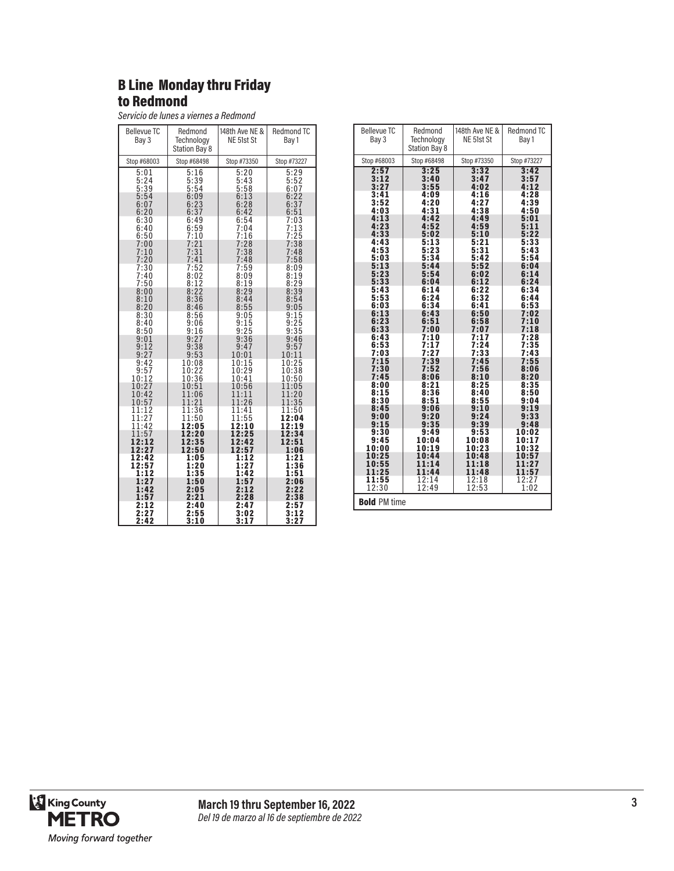## B Line Monday thru Friday to Redmond

*Servicio de lunes a viernes a Redmond*

| <b>Bellevue TC</b><br>Bay 3  | Redmond<br>Technology<br><b>Station Bay 8</b> | 148th Ave NE &<br>NE 51st St     | Redmond TC<br>Bay 1          |
|------------------------------|-----------------------------------------------|----------------------------------|------------------------------|
| Stop #68003                  | Stop #68498                                   | Stop #73350                      | Stop #73227                  |
| 5:01<br>5:24<br>5:39<br>5:54 | 5:16<br>5:39<br>5:54<br>6:09                  | 5:20<br>$5:43$<br>$5:58$<br>6:13 | 5:29<br>5:52<br>6:07<br>6:22 |
| 6:07                         | 6:23                                          | 6:28                             | 6:37                         |
| 6:20                         | 6:37                                          | 6:42                             | 6:51                         |
| 6:30                         | 6:49                                          | 6:54                             | 7:03                         |
| 6:40                         | 6:59                                          | 7:04                             | 7:13                         |
| 6:50                         | 7:10                                          | 7:16                             | 7:25                         |
| 7:00                         | 7:21                                          | 7:28                             | 7:38                         |
| 7:10                         | 7:31                                          | 7:38                             | 7:48                         |
| 7:20                         | 7:41                                          | 7:48                             | 7:58                         |
| 7:30                         | 7:52                                          | 7:59                             | 8:09                         |
| 7:40                         | 8:02                                          | 8:09                             | 8:19                         |
| 7:50                         | 8:12                                          | 8:19                             | 8:29                         |
| 8:00                         | 8:22                                          | 8:29                             | 8:39                         |
| 8:10                         | 8:36                                          | 8:44                             | 8:54                         |
| 8:20                         | 8:46                                          | 8:55                             | 9:05                         |
| 8:30<br>8:40<br>8:50         | 8:56<br>9:06<br>9:16                          | 9:05<br>$9:15$<br>$9:25$         | 9:15<br>9:25<br>9:35         |
| 9:01                         | 9:27                                          | 9:36                             | 9:46                         |
| 9:12                         | 9:38                                          | 9:47                             | 9:57                         |
| 9:27                         | 9:53                                          | 10:01                            | 10:11                        |
| 9:42                         | 10:08                                         | 10:15                            | 10:25                        |
| 9:57                         | 10:22                                         | 10:29                            | 10:38                        |
| 10:12                        | 10:36                                         | 10:41                            | 10:50                        |
| 10:27                        | 10:51                                         | 10:56                            | 11:05                        |
| 10:42                        | 11:06                                         | 11:11                            | 11:20                        |
| 10:57                        | 11:21                                         | 11:26                            | 11:35                        |
| 11:12                        | 11:36                                         | 11:41                            | 11:50                        |
| 11:27                        | 11:50                                         | 11:55                            | 12:04                        |
| 11:42                        | 12:05                                         | 12:10                            | 12:19                        |
| 11:57                        | 12:20                                         | 12:25                            | 12:34                        |
| 12:12                        | 12:35                                         | 12:42                            | 12:51                        |
| 12:27                        | 12:50                                         | 12:57                            | 1:06                         |
| 12:42                        | 1:05                                          | 1:12                             | 1:21                         |
| 12:57                        | 1:20                                          | 1:27                             | 1:36                         |
| 1:12                         | 1:35                                          | 1:42                             | 1:51                         |
| 1:27                         | 1:50                                          | 1:57                             | 2:06                         |
| 1:42                         | 2:05                                          | 2:12                             | 2:22                         |
| 1:57                         | 2:21                                          | 2:28                             | 2:38                         |
| 2:12                         | 2:40                                          | 2:47                             | 2:57                         |
| 2:27                         | 2:55                                          | 3:02                             | 3:12                         |
| 2:42                         | 3:10                                          | 3:17                             | 3:27                         |

| <b>Bellevue TC</b><br>Bay 3  | Redmond<br>Technology<br><b>Station Bay 8</b> | 148th Ave NE &<br>NE 51st St | Redmond TC<br>Bay 1          |
|------------------------------|-----------------------------------------------|------------------------------|------------------------------|
| Stop #68003                  | Stop #68498                                   | Stop #73350                  | Stop #73227                  |
| 2:57                         | 3:25                                          | 3:32                         | 3:42                         |
| 3:12                         | 3:40                                          | 3:47                         | 3:57                         |
| 3:27                         | 3:55                                          | 4:02                         | 4:12                         |
| 3:41                         | 4:09                                          | 4:16                         | 4:28                         |
| 3:52                         | 4:20                                          | 4:27                         | 4:39                         |
| 4:03                         | 4:31                                          | 4:38                         | 4:50                         |
| 4:13                         | 4:42                                          | 4:49                         | 5:01                         |
| 4:23                         | 4:52                                          | 4:59                         | 5:11                         |
| 4:33                         | 5:02                                          | 5:10                         | 5:22                         |
| 4:43                         | 5:13                                          | 5:21                         | 5:33                         |
| 4:53                         | 5:23                                          | 5:31                         | 5:43                         |
| 5:03                         | 5:34                                          | 5:42                         | 5:54                         |
| 5:13<br>5:23<br>5:33<br>5:43 | 5:44<br>5:54<br>6:04                          | 5:52<br>6:02<br>6:12<br>6:22 | 6:04<br>6:14<br>6:24<br>6:34 |
| 5:53<br>6:03                 | 6:14<br>6:24<br>6:34                          | 6:32<br>6:41                 | 6:44<br>6:53                 |
| 6:13                         | 6:43                                          | 6:50                         | 7:02                         |
| 6:23                         | 6:51                                          | 6:58                         | 7:10                         |
| 6:33                         | 7:00                                          | 7:07                         | 7:18                         |
| 6:43                         | 7:10                                          | 7:17                         | 7:28                         |
| 6:53                         | 7:17                                          | 7:24                         | 7:35                         |
| 7:03                         | 7:27                                          | 7:33                         | 7:43                         |
| 7:15                         | 7:39                                          | 7:45                         | 7:55                         |
| 7:30                         | 7:52                                          | 7:56                         | 8:06                         |
| 7:45                         | 8:06                                          | 8:10                         | 8:20                         |
| 8:00                         | 8:21                                          | 8:25                         | 8:35                         |
| 8:15                         | 8:36                                          | 8:40                         | 8:50                         |
| 8:30                         | 8:51                                          | 8:55                         | 9:04                         |
| 8:45                         | 9:06                                          | 9:10                         | 9:19                         |
| 9:00                         | 9:20                                          | 9:24                         | 9:33                         |
| 9:15                         | 9:35                                          | 9:39                         | 9:48                         |
| 9:30                         | 9:49                                          | 9:53                         | 10:02                        |
| 9:45                         | 10:04                                         | 10:08                        | 10:17                        |
| 10:00                        | 10:19                                         | 10:23                        | 10:32                        |
| 10:25                        | 10:44                                         | 10:48                        | 10:5                         |
| 10:55                        | 11:14                                         | 11:18                        | 11:27                        |
| 11:25                        | 11:44                                         | 11:48                        | 11:57                        |
| 11:55                        | 12:14                                         | 12:18                        | 12:27                        |
| 12:30                        | 12:49                                         | 12:53                        | 1:02                         |
| <b>Bold PM time</b>          |                                               |                              |                              |

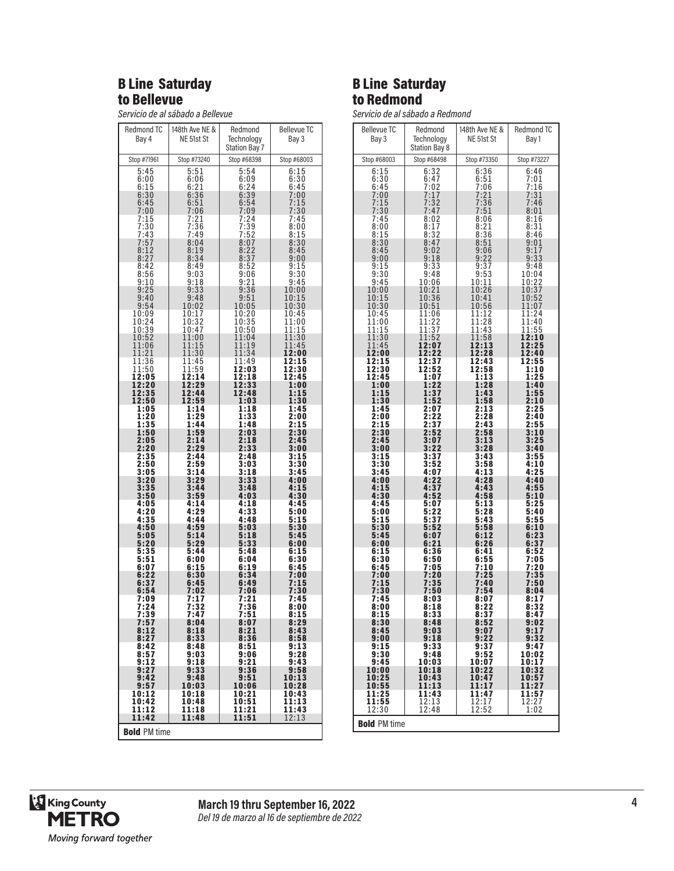#### B Line Saturday to Bellevue

*Servicio de al sábado a Bellevue*

| <b>Redmond TC</b>    | 148th Ave NE &   | Redmond              | <b>Bellevue TC</b>  |
|----------------------|------------------|----------------------|---------------------|
| Bay 4                | NE 51st St       | Technology           | Bay 3               |
|                      |                  | <b>Station Bay 7</b> |                     |
| Stop #71961          | Stop #73240      | Stop #68398          | Stop #68003         |
| 5:45                 | 5:51             | 5:54                 | 6:15                |
| 6:00                 | 6:06             | 6:09                 | 6:30<br>6:45        |
| $\frac{6:15}{6:30}$  | $6:21$<br>$6:36$ | 6:24<br>6:39         | 7:00                |
| 6:45<br>7:00         | $6:51$<br>$7:06$ | 6:54<br>7:09         | $7:15$<br>$7:30$    |
| 7:15                 | 7:21             | 7:24                 | 7:45                |
| $7:30$<br>$7:43$     | $7:36$<br>$7:49$ | $7:39$<br>7:52       | 8:00                |
|                      | 8:04             | 8:07                 | 8:15<br>8:30        |
| $7:57$<br>$8:12$     | 8:19             | $\frac{8:22}{8:37}$  | 8:45                |
| 8:27<br>8:42         | 8:34<br>8:49     | 8:52                 | 9:00<br>9:15        |
| 8:56                 | 9:03             | 9:06                 | 9:30                |
| 9:10<br>9:25         | 9:18<br>9:33     | 9:21<br>9:36         | 9:45<br>10:00       |
| 9:40                 | 9:48             | 9:51                 | 10:15               |
| 9:54                 | 10:02            | 10:05                | 10:30               |
| 10:09                | 10:17<br>10:32   | 10:20<br>10:35       | 10:45<br>11:00      |
| 10:24<br>10:39       | 10:47            | 10:50                | 11:15               |
| 10:52<br>11:06       | 11:00<br>11:15   | 11:04<br>11:19       | 11:30<br>11:45      |
| 11:21                | 11:30            | 11:34                | 12:00               |
| 11:36                | 11:45            | 11:49                | 12:15               |
| 11:50<br>12:05       | 11:59<br>12:14   | 12:03<br>12:18       | 12:30<br>12:45      |
| 12:20                | 12:29            | 12:33                | 1:00                |
| 12:35<br>12:50       | 12:44<br>12:59   | 12:48<br>1:03        | 1:15<br>1:30        |
| 1:05                 | 1:14             | 1:18                 | 1:45                |
| 1:20<br>1:35         | 1:29<br>1:44     | 1:33<br>1:48         | 2:00<br>2:15        |
| 1:50                 | 1:59             | 2:03                 | 2:30                |
| 2:05<br>2:20         | 2:14<br>2:29     | 2:18<br>2:33         | 2:45<br>3:00        |
| 2:35                 | 2:44             | 2:48                 | 3:15                |
| 2:50<br>3:05         | 2:59<br>3:14     | 3:03<br>3:18         | 3:30<br>3:45        |
| 3:20                 | 3:29             | 3:33                 | 4:00                |
| 3:35<br>3:50         | 3:44<br>3:59     | 3:48<br>4:03         | 4:15<br>4:30        |
| 4:05                 | 4:14<br>4:29     | 4:18                 | 4:45                |
| 4:20<br>4:35         | 4:44             | 4:33<br>4:48         | 5:00<br>5:15        |
| 4:50                 | 4:59             | 5:03                 | 5:30                |
| 5:05<br>5:20         | 5:14<br>5:29     | 5:18<br>5:33         | 5:45<br>6:00        |
| 5:35                 | 5:44             | 5:48                 | 6:15                |
| 5:51<br>6:07         | 6:00<br>6:15     | 6:04<br>6:19         | 6:30<br>6:45        |
| 6:22                 | 6:30<br>6:45     | 6:34<br>6:49         | 7:00<br>7:15        |
| 6:37<br>6:54         | 7:02             | 7:06                 | 7:30                |
| 7:09                 | 7:17<br>7:32     | 7:21<br>7:36         | 7:45                |
| 7:24                 | 7:47             | 7:51                 | 8:00<br>8:15        |
| 7:39<br>7:57<br>8:12 | 8:04             | 8:07<br>8:21         | $\frac{8:29}{8:43}$ |
| 8:27                 | 8:18<br>8:33     | 8:36                 | 8:58                |
| 8:42<br>8:57         | 8:48<br>9:03     | 8:51<br>9:06         | 9:13<br>9:28        |
| 9:12                 | 9:18             | 9:21<br>9:36         | 9:43                |
| 9:27                 | 9:33             |                      | 9:58                |
| 9:42<br>9:57         | 9:48<br>10:03    | 9:51<br>10:06        | 10:13<br>10:28      |
| 10:12                | 10:18            | 10:21                | 10:43               |
| 10:42<br>11:12       | 10:48<br>11:18   | 10:51<br>11:21       | 11:13<br>11:43      |
| 11:42                | 11:48            | 11:51                | 12:13               |
| <b>Bold PM time</b>  |                  |                      |                     |

## B Line Saturday to Redmond

*Servicio de al sábado a Redmond*

| <b>Bellevue TC</b><br>Bay 3 | Redmond<br>Technology                         | 148th Ave NE &<br>NE 51st St | <b>Redmond TC</b><br>Bay 1 |
|-----------------------------|-----------------------------------------------|------------------------------|----------------------------|
|                             | Station Bay 8                                 |                              |                            |
| Stop #68003                 | Stop #68498                                   | Stop #73350                  | Stop #73227                |
| 6:15<br>6:30                | 6:32<br>6:47                                  | 6:36<br>6:51                 | 6:46<br>7:01               |
| 6:45                        | 7.02                                          | 7:06                         | 7:16                       |
| 7:00                        | 7:17                                          | 7:21                         | 7:31<br>7:46               |
| $7:15$<br>$7:30$            | 7:32<br>7:47                                  | 7:36<br>7:51                 | 8:01                       |
| 7:45<br>8:00                | 8:02<br>8:17                                  | 8:06<br>$\frac{8:21}{8:36}$  | 8:16<br>8:31               |
| 8:15                        | 8:32<br>8:47                                  |                              | 8:46                       |
| 8:30<br>8:45                | 9:02                                          | $8:51$<br>$9:06$             | 9:01<br>9:17               |
| 9:00<br>9:15                | 9:18<br>9:33                                  | 9:22<br>9:37                 | 9:33<br>9:48               |
| 9:30                        | 9:48                                          | 9:53                         | 10:04                      |
| 9:45<br>10:00               | 10:06<br>10:21                                | 10:11<br>10:26               | 10:22<br>10:37             |
| 10:15                       | 10:36                                         | 10:41                        | 10:52                      |
| 10:30<br>10:45              | 10:51<br>11:06                                | 10:56<br>11:12               | 11:07<br>11:24             |
| 11:00                       | $\begin{array}{c} 11:22 \\ 11:37 \end{array}$ | 11:28                        | 11:40                      |
| 11:15<br>11:30              | 11:52                                         | 11:43<br>11:58               | 11:55<br>12:10             |
| 11:45                       | 12:07<br>12:22                                | 12:13                        | 12:25                      |
| 12:00<br>12:15              | 12:37                                         | 12:28<br>12:43               | 12:40<br>12:55             |
| 12:30<br>12:45              | 12:52<br>1:07                                 | 12:58<br>1:13                | 1:10<br>1:25               |
| 1:00                        | 1:22                                          | 1:28                         | 1:40                       |
| 1:15<br>1:30                | 1:37<br>1:52                                  | 1:43<br>1:58                 | 1:55<br>2:10               |
| 1:45                        | 2:07                                          | 2:13                         | 2:25                       |
| 2:00<br>2:15                | 2:22<br>2:37                                  | 2:28<br>2:43                 | 2:40<br>2:55               |
| 2:30<br>2:45                | 2:52                                          | 2:58                         | 3:10                       |
| 3:00                        | 3:07<br>3:22                                  | $3:13$<br>$3:28$             | $3:25$<br>$3:40$           |
| 3:15<br>3:30                | 3:37<br>3:52                                  | 3:43<br>3:58                 | 3:55<br>4:10               |
| 3:45                        | 4:07                                          | 4:13                         | 4:25                       |
| 4:00<br>4:15                | 4:22<br>4:37                                  | 4:28<br>4:43                 | 4:40<br>4:55               |
| 4:30<br>4:45                | 4:52<br>5:07                                  | 4:58<br>5:13                 | 5:10<br>5:25               |
| 5:00                        | 5:22                                          | 5:28                         | 5:40                       |
| 5:15<br>5:30                | 5:37<br>5:52                                  | 5:43<br>5:58                 | 5:55<br>6:10               |
| 5:45                        | 6:07                                          | 6:12                         | 6:23                       |
| 6:00<br>6:15                | 6:21<br>6:36                                  | 6:26<br>6:41                 | 6:37<br>6:52               |
| 6:30                        | 6:50                                          | 6:55                         | 7:05                       |
| 6:45<br>7:00                | 7:05<br>7:20                                  | 7:10<br>7:25                 | 7:20<br>7:35               |
| 7:15<br>7:30                | 7:35<br>7:50                                  | 7:40<br>7:54                 | 7:50<br>8:04               |
| 7:45                        | 8:03                                          | 8:07                         | 8:17                       |
| 8:00<br>8:15                | 8:18<br>8:33                                  | 8:22<br>8:37                 | 8:32<br>8:47               |
| 8:30                        | 8:48                                          | 8:52                         | $9:02$<br>$9:17$           |
| 8:45<br>9:00                | 9:03<br>9:18                                  | 9:07<br>9:22                 | 9:32                       |
| 9:15                        | 9:33                                          | 9:37                         | 9:47                       |
| 9:30<br>9:45                | 9:48<br>10:03                                 | 9:52<br>10:07                | 10:02<br>10:17             |
| 10:00<br>10:25              | 10:18<br>10:43                                | 10:22<br>10:47               | 10:32<br>10:57             |
| 10:55                       | 11:13                                         | 11:17                        | 11:27                      |
| 11:25<br>11:55              | 11:43                                         | 11:47                        | 11:57                      |
| 12:30                       | $\frac{1}{2}$ :13<br>12:48                    | 12:17<br>12:52               | $\frac{1}{2}$ :27<br>1:02  |
| <b>Bold PM time</b>         |                                               |                              |                            |